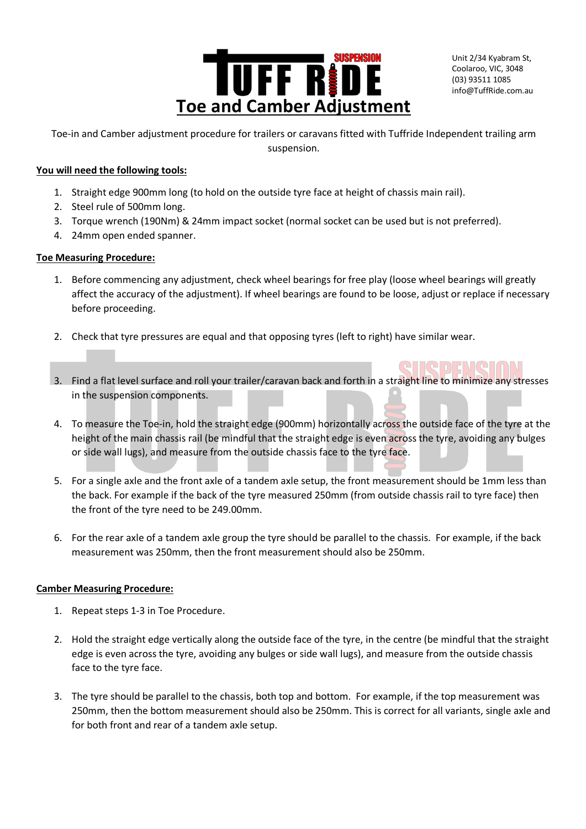

Unit 2/34 Kyabram St, Coolaroo, VIC, 3048 (03) 93511 1085 info@TuffRide.com.au

Tentifici

Toe-in and Camber adjustment procedure for trailers or caravans fitted with Tuffride Independent trailing arm suspension.

# **You will need the following tools:**

- 1. Straight edge 900mm long (to hold on the outside tyre face at height of chassis main rail).
- 2. Steel rule of 500mm long.
- 3. Torque wrench (190Nm) & 24mm impact socket (normal socket can be used but is not preferred).
- 4. 24mm open ended spanner.

## **Toe Measuring Procedure:**

- 1. Before commencing any adjustment, check wheel bearings for free play (loose wheel bearings will greatly affect the accuracy of the adjustment). If wheel bearings are found to be loose, adjust or replace if necessary before proceeding.
- 2. Check that tyre pressures are equal and that opposing tyres (left to right) have similar wear.
- 3. Find a flat level surface and roll your trailer/caravan back and forth in a straight line to minimize any stresses in the suspension components.
- 4. To measure the Toe-in, hold the straight edge (900mm) horizontally across the outside face of the tyre at the height of the main chassis rail (be mindful that the straight edge is even across the tyre, avoiding any bulges or side wall lugs), and measure from the outside chassis face to the tyre face.
- 5. For a single axle and the front axle of a tandem axle setup, the front measurement should be 1mm less than the back. For example if the back of the tyre measured 250mm (from outside chassis rail to tyre face) then the front of the tyre need to be 249.00mm.
- 6. For the rear axle of a tandem axle group the tyre should be parallel to the chassis. For example, if the back measurement was 250mm, then the front measurement should also be 250mm.

#### **Camber Measuring Procedure:**

- 1. Repeat steps 1-3 in Toe Procedure.
- 2. Hold the straight edge vertically along the outside face of the tyre, in the centre (be mindful that the straight edge is even across the tyre, avoiding any bulges or side wall lugs), and measure from the outside chassis face to the tyre face.
- 3. The tyre should be parallel to the chassis, both top and bottom. For example, if the top measurement was 250mm, then the bottom measurement should also be 250mm. This is correct for all variants, single axle and for both front and rear of a tandem axle setup.